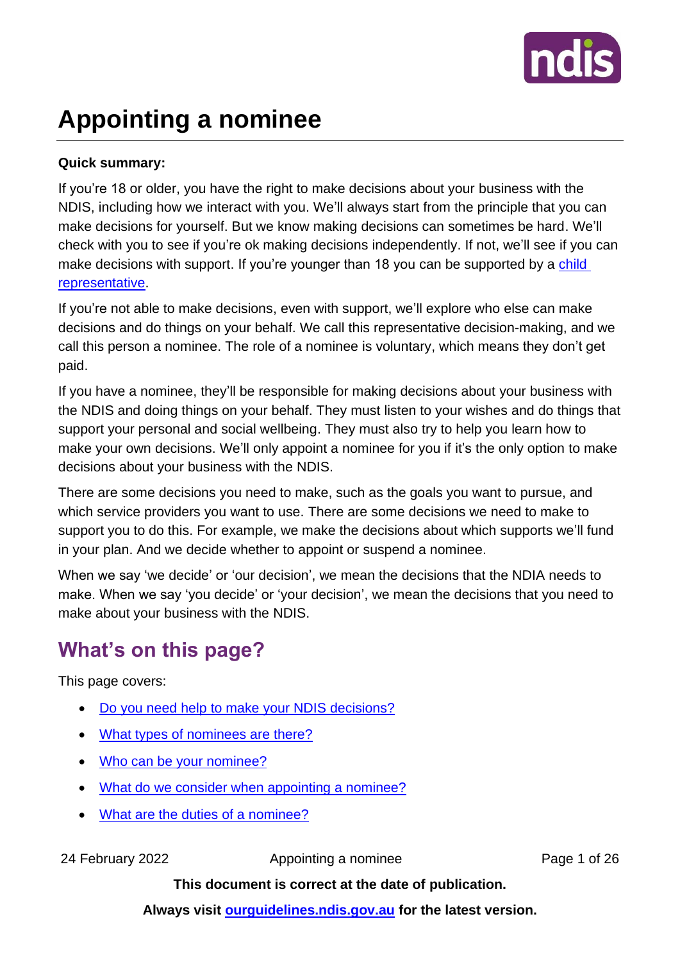

# **Appointing a nominee**

### **Quick summary:**

If you're 18 or older, you have the right to make decisions about your business with the NDIS, including how we interact with you. We'll always start from the principle that you can make decisions for yourself. But we know making decisions can sometimes be hard. We'll check with you to see if you're ok making decisions independently. If not, we'll see if you can make decisions with support. If you're younger than 18 you can be supported by a child [representative.](https://ourguidelines.ndis.gov.au/home/having-someone-represent-you/child-representatives)

If you're not able to make decisions, even with support, we'll explore who else can make decisions and do things on your behalf. We call this representative decision-making, and we call this person a nominee. The role of a nominee is voluntary, which means they don't get paid.

If you have a nominee, they'll be responsible for making decisions about your business with the NDIS and doing things on your behalf. They must listen to your wishes and do things that support your personal and social wellbeing. They must also try to help you learn how to make your own decisions. We'll only appoint a nominee for you if it's the only option to make decisions about your business with the NDIS.

There are some decisions you need to make, such as the goals you want to pursue, and which service providers you want to use. There are some decisions we need to make to support you to do this. For example, we make the decisions about which supports we'll fund in your plan. And we decide whether to appoint or suspend a nominee.

When we say 'we decide' or 'our decision', we mean the decisions that the NDIA needs to make. When we say 'you decide' or 'your decision', we mean the decisions that you need to make about your business with the NDIS.

## **What's on this page?**

This page covers:

- [Do you need help to make your NDIS decisions?](#page-1-0)
- [What types of nominees are there?](#page-3-0)
- [Who can be your nominee?](#page-5-0)
- [What do we consider when appointing a nominee?](#page-9-0)
- [What are the duties of a nominee?](#page-10-0)

24 February 2022 **Appointing a nominee** Page 1 of 26

**This document is correct at the date of publication.**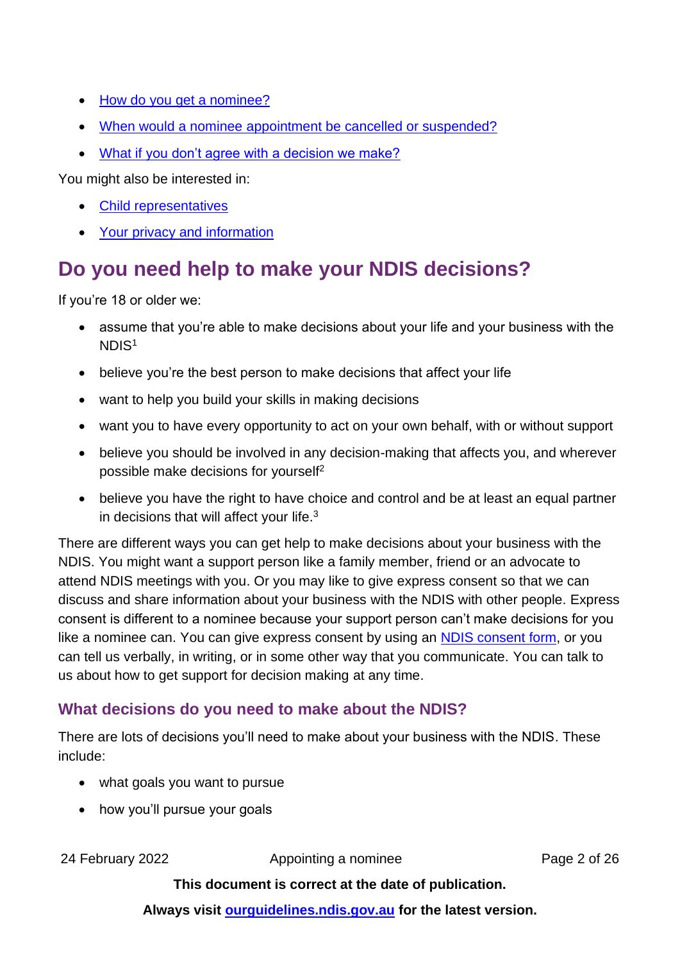- How do you [get a nominee?](#page-12-0)
- When would a nominee appointment [be cancelled or suspended?](#page-17-0)
- [What if you don't agree with a decision we make?](#page-20-0)

You might also be interested in:

- [Child representatives](https://ourguidelines.ndis.gov.au/home/having-someone-represent-you/child-representatives)
- [Your privacy and information](https://ourguidelines.ndis.gov.au/how-ndis-supports-work-menu/your-privacy-and-information)

## <span id="page-1-0"></span>**Do you need help to make your NDIS decisions?**

If you're 18 or older we:

- assume that you're able to make decisions about your life and your business with the NDIS<sup>1</sup>
- believe you're the best person to make decisions that affect your life
- want to help you build your skills in making decisions
- want you to have every opportunity to act on your own behalf, with or without support
- believe you should be involved in any decision-making that affects you, and wherever possible make decisions for yourself<sup>2</sup>
- believe you have the right to have choice and control and be at least an equal partner in decisions that will affect your life. $3$

There are different ways you can get help to make decisions about your business with the NDIS. You might want a support person like a family member, friend or an advocate to attend NDIS meetings with you. Or you may like to give express consent so that we can discuss and share information about your business with the NDIS with other people. Express consent is different to a nominee because your support person can't make decisions for you like a nominee can. You can give express consent by using an [NDIS consent form,](https://www.ndis.gov.au/about-us/policies/access-information/consent-forms) or you can tell us verbally, in writing, or in some other way that you communicate. You can talk to us about how to get [support for decision making](https://www.ndis.gov.au/about-us/operational-guidelines/overview-ndis-operational-guideline/overview-ndis-operational-guideline-communicating-people-disability#6.1) at any time.

### **What decisions do you need to make about the NDIS?**

There are lots of decisions you'll need to make about your business with the NDIS. These include:

- what goals you want to pursue
- how you'll pursue your goals

24 February 2022 Appointing a nominee Page 2 of 26

### **This document is correct at the date of publication.**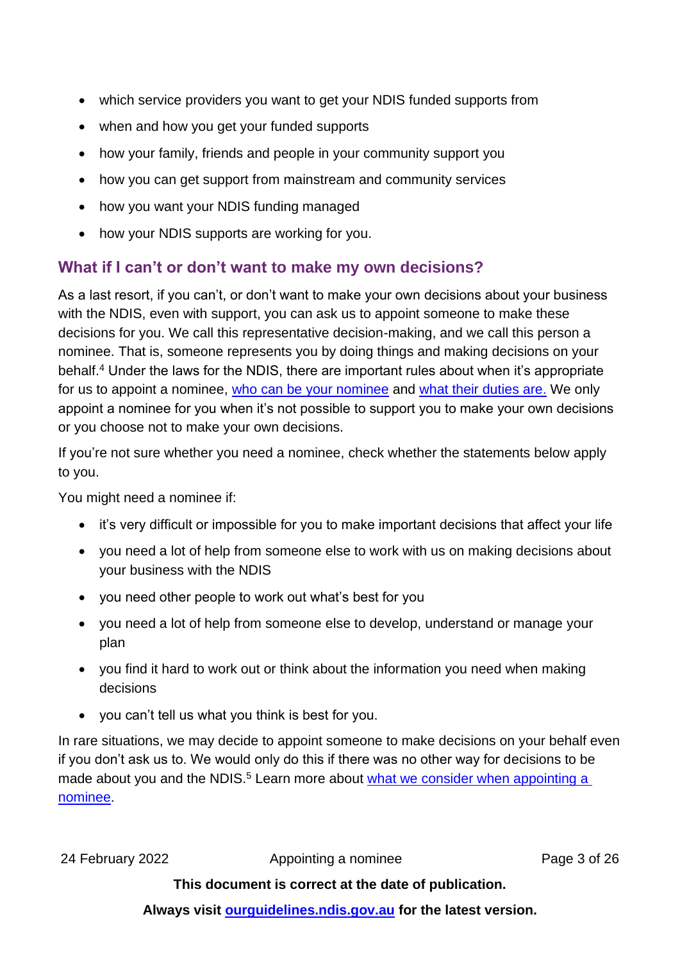- which service providers you want to get your NDIS funded supports from
- when and how you get your funded supports
- how your family, friends and people in your community support you
- how you can get support from mainstream and community services
- how you want your NDIS funding managed
- how your NDIS supports are working for you.

### <span id="page-2-0"></span>**What if I can't or don't want to make my own decisions?**

As a last resort, if you can't, or don't want to make your own decisions about your business with the NDIS, even with support, you can ask us to appoint someone to make these decisions for you. We call this representative decision-making, and we call this person a nominee. That is, someone represents you by doing things and making decisions on your behalf.<sup>4</sup> Under the laws for the NDIS, there are important rules about when it's appropriate for us to appoint a nominee, who [can be your](#page-5-0) nominee and [what their duties](#page-10-0) are. We only appoint a nominee for you when it's not possible to support you to make your own decisions or you choose not to make your own decisions.

If you're not sure whether you need a nominee, check whether the statements below apply to you.

You might need a nominee if:

- it's very difficult or impossible for you to make important decisions that affect your life
- you need a lot of help from someone else to work with us on making decisions about your business with the NDIS
- you need other people to work out what's best for you
- you need a lot of help from someone else to develop, understand or manage your plan
- you find it hard to work out or think about the information you need when making decisions
- you can't tell us what you think is best for you.

In rare situations, we may decide to appoint someone to make decisions on your behalf even if you don't ask us to. We would only do this if there was no other way for decisions to be made about you and the NDIS.<sup>5</sup> Learn more about what we consider when appointing a [nominee.](#page-9-0)

24 February 2022 **Appointing a nominee** Page 3 of 26

### **This document is correct at the date of publication.**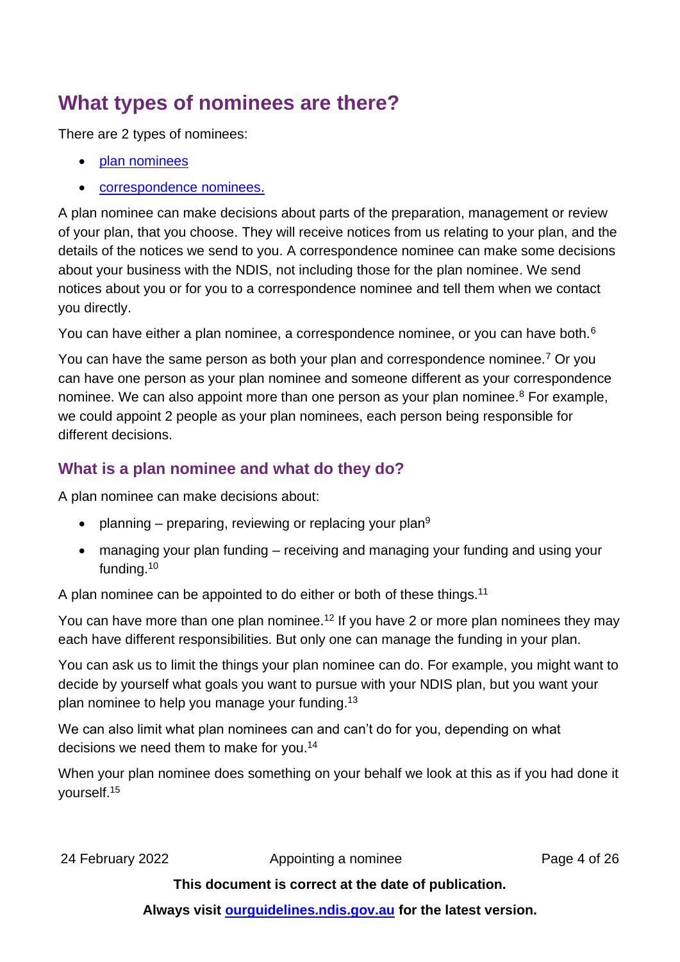## <span id="page-3-0"></span>**What types of nominees are there?**

There are 2 types of nominees:

- [plan nominees](#page-3-1)
- [correspondence nominees.](#page-4-0)

A plan nominee can make decisions about parts of the preparation, management or review of your plan, that you choose. They will receive notices from us relating to your plan, and the details of the notices we send to you. A correspondence nominee can make some decisions about your business with the NDIS, not including those for the plan nominee. We send notices about you or for you to a correspondence nominee and tell them when we contact you directly.

You can have either a plan nominee, a correspondence nominee, or you can have both.<sup>6</sup>

You can have the same person as both your plan and correspondence nominee.<sup>7</sup> Or you can have one person as your plan nominee and someone different as your correspondence nominee. We can also appoint more than one person as your plan nominee. $8$  For example, we could appoint 2 people as your plan nominees, each person being responsible for different decisions.

### <span id="page-3-1"></span>**What is a plan nominee and what do they do?**

A plan nominee can make decisions about:

- planning preparing, reviewing or replacing your plan<sup>9</sup>
- managing your plan funding receiving and managing your funding and using your funding.<sup>10</sup>

A plan nominee can be appointed to do either or both of these things.<sup>11</sup>

You can have more than one plan nominee.<sup>12</sup> If you have 2 or more plan nominees they may each have different responsibilities. But only one can manage the funding in your plan.

You can ask us to limit the things your plan nominee can do. For example, you might want to decide by yourself what goals you want to pursue with your NDIS plan, but you want your plan nominee to help you manage your funding.<sup>13</sup>

We can also limit what plan nominees can and can't do for you, depending on what decisions we need them to make for you.<sup>14</sup>

When your plan nominee does something on your behalf we look at this as if you had done it yourself.15

24 February 2022 **Appointing a nominee** Page 4 of 26

**This document is correct at the date of publication.**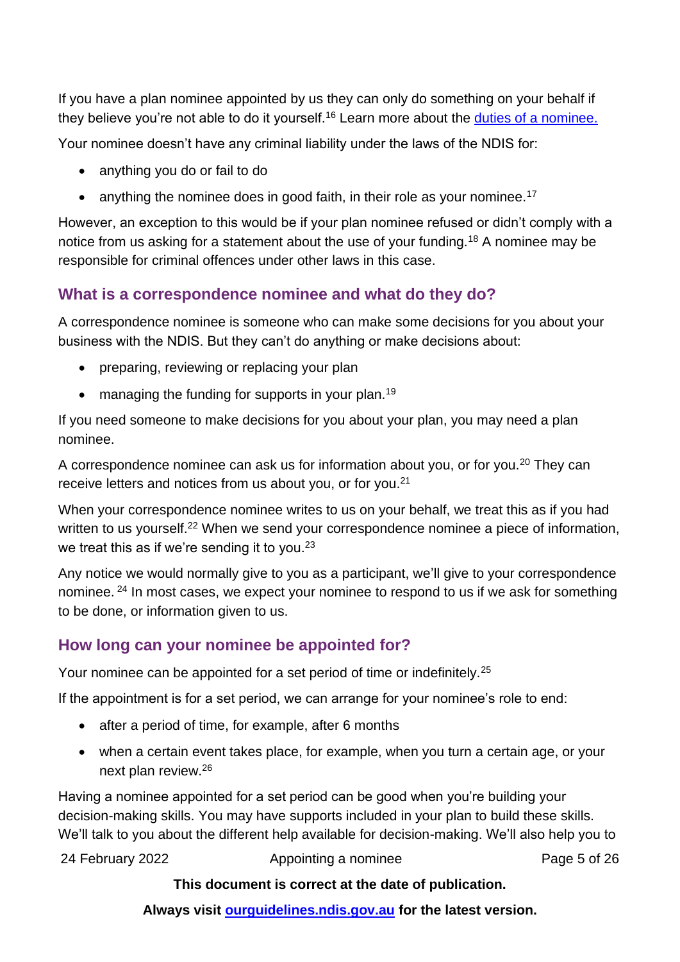If you have a plan nominee appointed by us they can only do something on your behalf if they believe you're not able to do it yourself.<sup>16</sup> Learn more about the [duties of a nominee.](#page-10-0)

Your nominee doesn't have any criminal liability under the laws of the NDIS for:

- anything you do or fail to do
- anything the nominee does in good faith, in their role as your nominee.<sup>17</sup>

However, an exception to this would be if your plan nominee refused or didn't comply with a notice from us asking for a statement about the use of your funding.<sup>18</sup> A nominee may be responsible for criminal offences under other laws in this case.

### <span id="page-4-0"></span>**What is a correspondence nominee and what do they do?**

A correspondence nominee is someone who can make some decisions for you about your business with the NDIS. But they can't do anything or make decisions about:

- preparing, reviewing or replacing your plan
- managing the funding for supports in your plan.<sup>19</sup>

If you need someone to make decisions for you about your plan, you may need a plan nominee.

A correspondence nominee can ask us for information about you, or for you.<sup>20</sup> They can receive letters and notices from us about you, or for you.<sup>21</sup>

When your correspondence nominee writes to us on your behalf, we treat this as if you had written to us yourself.<sup>22</sup> When we send your correspondence nominee a piece of information, we treat this as if we're sending it to you.<sup>23</sup>

Any notice we would normally give to you as a participant, we'll give to your correspondence nominee. <sup>24</sup> In most cases, we expect your nominee to respond to us if we ask for something to be done, or information given to us.

### **How long can your nominee be appointed for?**

Your nominee can be appointed for a set period of time or indefinitely.<sup>25</sup>

If the appointment is for a set period, we can arrange for your nominee's role to end:

- after a period of time, for example, after 6 months
- when a certain event takes place, for example, when you turn a certain age, or your next plan review.<sup>26</sup>

Having a nominee appointed for a set period can be good when you're building your decision-making skills. You may have supports included in your plan to build these skills. We'll talk to you about the different help available for decision-making. We'll also help you to

24 February 2022 Appointing a nominee Page 5 of 26

#### **This document is correct at the date of publication.**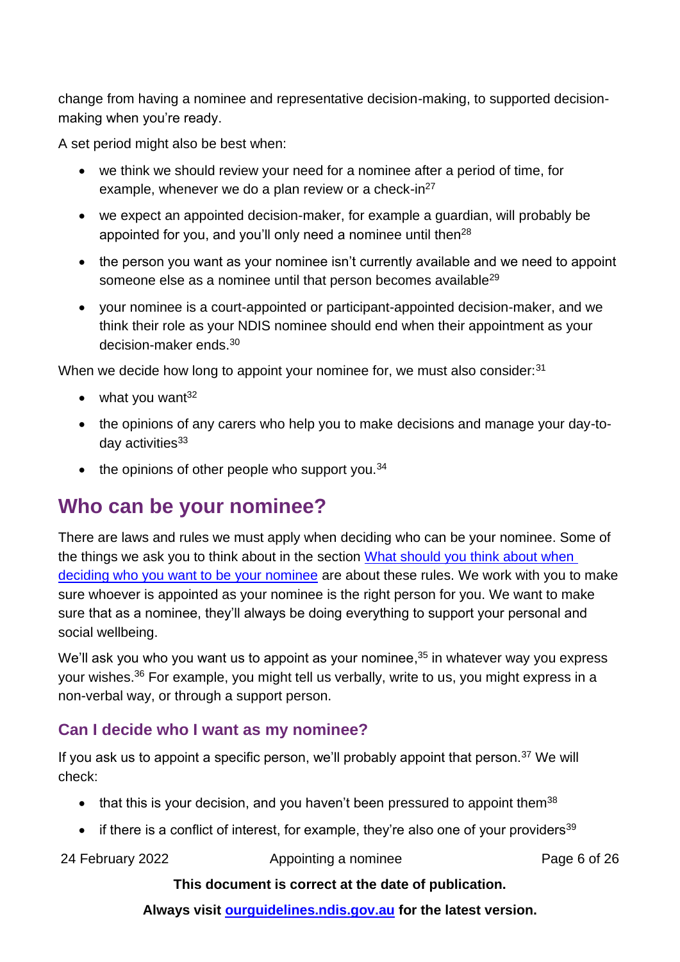change from having a nominee and representative decision-making, to supported decisionmaking when you're ready.

A set period might also be best when:

- we think we should review your need for a nominee after a period of time, for example, whenever we do a plan review or a check-in $^{27}$
- we expect an appointed decision-maker, for example a guardian, will probably be appointed for you, and you'll only need a nominee until then<sup>28</sup>
- the person you want as your nominee isn't currently available and we need to appoint someone else as a nominee until that person becomes available<sup>29</sup>
- your nominee is a court-appointed or participant-appointed decision-maker, and we think their role as your NDIS nominee should end when their appointment as your decision-maker ends.<sup>30</sup>

When we decide how long to appoint your nominee for, we must also consider:<sup>31</sup>

- $\bullet$  what you want<sup>32</sup>
- the opinions of any carers who help you to make decisions and manage your day-today activities<sup>33</sup>
- $\bullet$  the opinions of other people who support you.<sup>34</sup>

## <span id="page-5-0"></span>**Who can be your nominee?**

There are laws and rules we must apply when deciding who can be your nominee. Some of the things we ask you to think about in the section [What should you think about when](#page-7-0)  [deciding who you want to be your nominee](#page-7-0) are about these rules. We work with you to make sure whoever is appointed as your nominee is the right person for you. We want to make sure that as a nominee, they'll always be doing everything to support your personal and social wellbeing.

We'll ask you who you want us to appoint as your nominee,<sup>35</sup> in whatever way you express your wishes.<sup>36</sup> For example, you might tell us verbally, write to us, you might express in a non-verbal way, or through a support person.

### **Can I decide who I want as my nominee?**

If you ask us to appoint a specific person, we'll probably appoint that person. $37$  We will check:

- $\bullet$  that this is your decision, and you haven't been pressured to appoint them<sup>38</sup>
- if there is a conflict of interest, for example, they're also one of your providers<sup>39</sup>

24 February 2022 **Appointing a nominee** Page 6 of 26

#### **This document is correct at the date of publication.**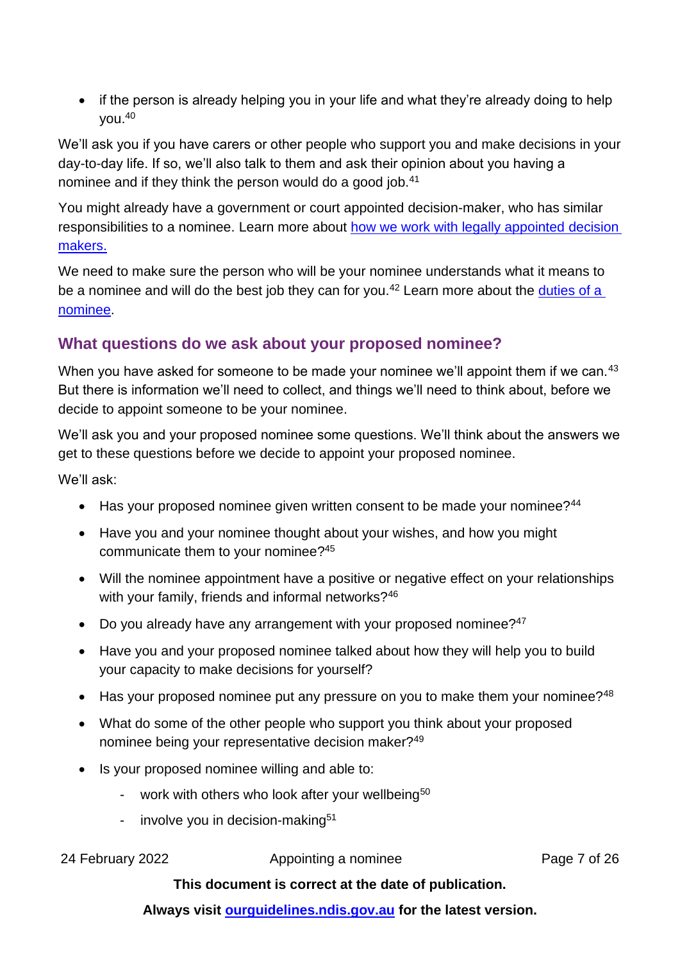• if the person is already helping you in your life and what they're already doing to help you.<sup>40</sup>

We'll ask you if you have carers or other people who support you and make decisions in your day-to-day life. If so, we'll also talk to them and ask their opinion about you having a nominee and if they think the person would do a good job.<sup>41</sup>

You might already have a government or court appointed decision-maker, who has similar responsibilities to a nominee. Learn more about [how we work with legally appointed](#page-10-1) decision [makers.](#page-10-1)

We need to make sure the person who will be your nominee understands what it means to be a nominee and will do the best job they can for you.<sup>42</sup> Learn more about the duties of a [nominee.](#page-10-0)

### <span id="page-6-0"></span>**What questions do we ask about your proposed nominee?**

When you have asked for someone to be made your nominee we'll appoint them if we can.<sup>43</sup> But there is information we'll need to collect, and things we'll need to think about, before we decide to appoint someone to be your nominee.

We'll ask you and your proposed nominee some questions. We'll think about the answers we get to these questions before we decide to appoint your proposed nominee.

We'll ask:

- Has your proposed nominee given written consent to be made your nominee?<sup>44</sup>
- Have you and your nominee thought about your wishes, and how you might communicate them to your nominee? 45
- Will the nominee appointment have a positive or negative effect on your relationships with your family, friends and informal networks?<sup>46</sup>
- Do you already have any arrangement with your proposed nominee?<sup>47</sup>
- Have you and your proposed nominee talked about how they will help you to build your capacity to make decisions for yourself?
- Has your proposed nominee put any pressure on you to make them your nominee?<sup>48</sup>
- What do some of the other people who support you think about your proposed nominee being your representative decision maker?<sup>49</sup>
- Is your proposed nominee willing and able to:
	- work with others who look after your wellbeing<sup>50</sup>
	- involve you in decision-making $51$

24 February 2022 **Appointing a nominee** Page 7 of 26

### **This document is correct at the date of publication.**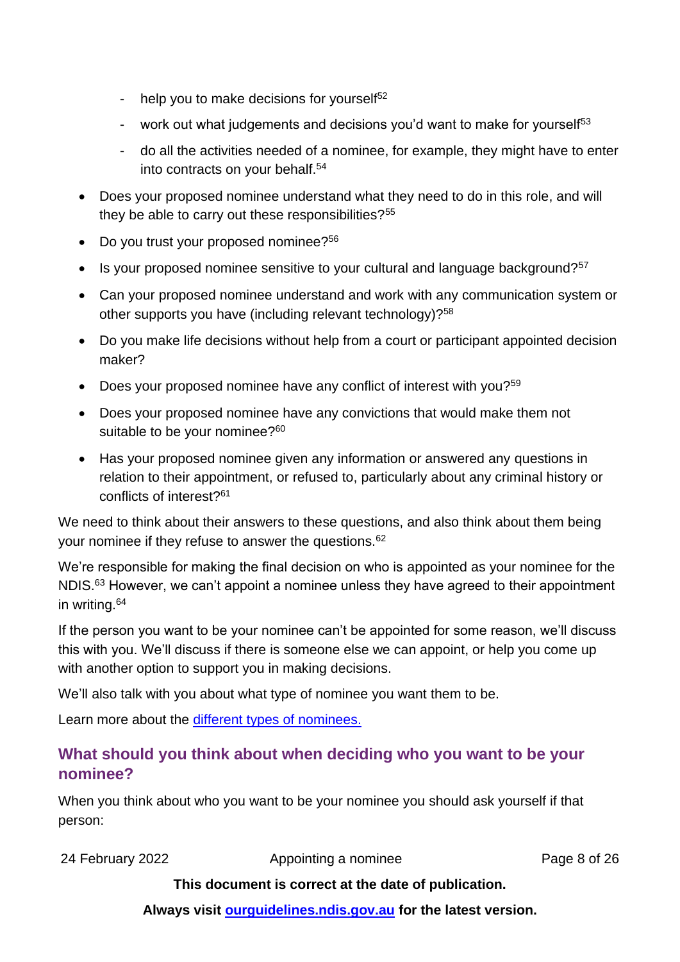- help you to make decisions for yourself $52$
- work out what judgements and decisions you'd want to make for yourself<sup>53</sup>
- do all the activities needed of a nominee, for example, they might have to enter into contracts on your behalf.<sup>54</sup>
- Does your proposed nominee understand what they need to do in this role, and will they be able to carry out these responsibilities?<sup>55</sup>
- Do you trust your proposed nominee?<sup>56</sup>
- $\bullet$  Is your proposed nominee sensitive to your cultural and language background?<sup>57</sup>
- Can your proposed nominee understand and work with any communication system or other supports you have (including relevant technology)?<sup>58</sup>
- Do you make life decisions without help from a court or participant appointed decision maker?
- Does your proposed nominee have any conflict of interest with you? $59$
- Does your proposed nominee have any convictions that would make them not suitable to be your nominee?<sup>60</sup>
- Has your proposed nominee given any information or answered any questions in relation to their appointment, or refused to, particularly about any criminal history or conflicts of interest?<sup>61</sup>

We need to think about their answers to these questions, and also think about them being your nominee if they refuse to answer the questions.<sup>62</sup>

We're responsible for making the final decision on who is appointed as your nominee for the NDIS.<sup>63</sup> However, we can't appoint a nominee unless they have agreed to their appointment in writing.<sup>64</sup>

If the person you want to be your nominee can't be appointed for some reason, we'll discuss this with you. We'll discuss if there is someone else we can appoint, or help you come up with another option to support you in making decisions.

We'll also talk with you about what type of nominee you want them to be.

Learn more about the [different types of nominees.](#page-3-0)

### <span id="page-7-0"></span>**What should you think about when deciding who you want to be your nominee?**

When you think about who you want to be your nominee you should ask yourself if that person:

24 February 2022 **Appointing a nominee** Page 8 of 26

### **This document is correct at the date of publication.**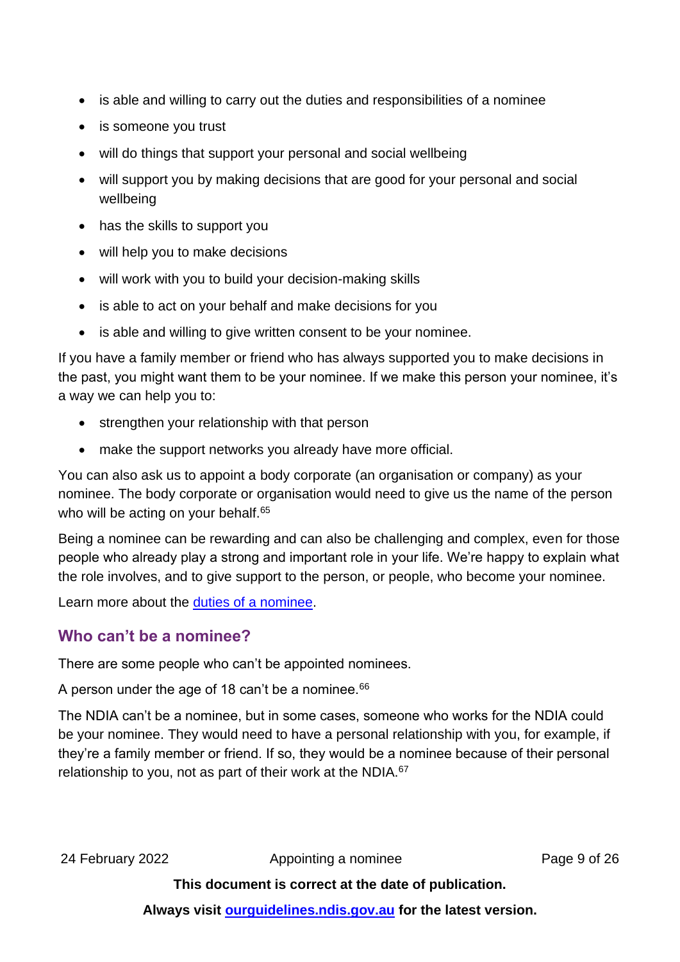- is able and willing to carry out the duties and responsibilities of a nominee
- is someone you trust
- will do things that support your personal and social wellbeing
- will support you by making decisions that are good for your personal and social wellbeing
- has the skills to support you
- will help you to make decisions
- will work with you to build your decision-making skills
- is able to act on your behalf and make decisions for you
- is able and willing to give written consent to be your nominee.

If you have a family member or friend who has always supported you to make decisions in the past, you might want them to be your nominee. If we make this person your nominee, it's a way we can help you to:

- strengthen your relationship with that person
- make the support networks you already have more official.

You can also ask us to appoint a body corporate (an organisation or company) as your nominee. The body corporate or organisation would need to give us the name of the person who will be acting on your behalf.<sup>65</sup>

Being a nominee can be rewarding and can also be challenging and complex, even for those people who already play a strong and important role in your life. We're happy to explain what the role involves, and to give support to the person, or people, who become your nominee.

Learn more about the duties of [a nominee.](#page-10-0)

### **Who can't be a nominee?**

There are some people who can't be appointed nominees.

A person under the age of 18 can't be a nominee.<sup>66</sup>

The NDIA can't be a nominee, but in some cases, someone who works for the NDIA could be your nominee. They would need to have a personal relationship with you, for example, if they're a family member or friend. If so, they would be a nominee because of their personal relationship to you, not as part of their work at the NDIA.<sup>67</sup>

24 February 2022 **Appointing a nominee** Page 9 of 26

**This document is correct at the date of publication.**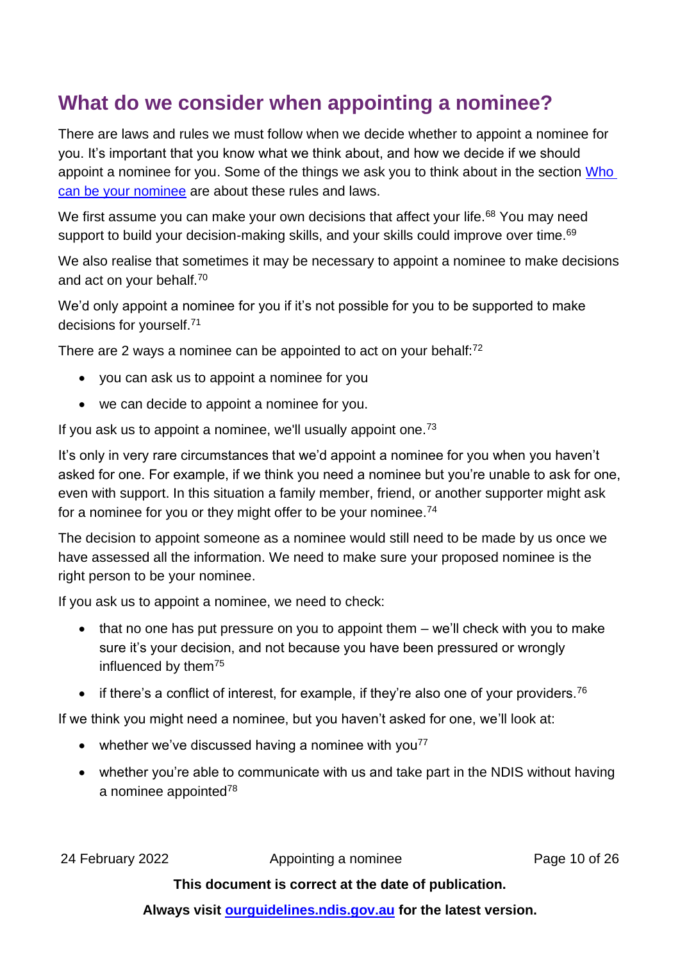## <span id="page-9-0"></span>**What do we consider when appointing a nominee?**

There are laws and rules we must follow when we decide whether to appoint a nominee for you. It's important that you know what we think about, and how we decide if we should appoint a nominee for you. Some of the things we ask you to think about in the section [Who](#page-5-0)  [can be your nominee](#page-5-0) are about these rules and laws.

We first assume you can make your own decisions that affect your life.<sup>68</sup> You may need support to build your decision-making skills, and your skills could improve over time.<sup>69</sup>

We also realise that sometimes it may be necessary to appoint a nominee to make decisions and act on your behalf.<sup>70</sup>

We'd only appoint a nominee for you if it's not possible for you to be supported to make decisions for yourself.<sup>71</sup>

There are 2 ways a nominee can be appointed to act on your behalf:<sup>72</sup>

- you can ask us to appoint a nominee for you
- we can decide to appoint a nominee for you.

If you ask us to appoint a nominee, we'll usually appoint one.<sup>73</sup>

It's only in very rare circumstances that we'd appoint a nominee for you when you haven't asked for one. For example, if we think you need a nominee but you're unable to ask for one, even with support. In this situation a family member, friend, or another supporter might ask for a nominee for you or they might offer to be your nominee.<sup>74</sup>

The decision to appoint someone as a nominee would still need to be made by us once we have assessed all the information. We need to make sure your proposed nominee is the right person to be your nominee.

If you ask us to appoint a nominee, we need to check:

- that no one has put pressure on you to appoint them  $-$  we'll check with you to make sure it's your decision, and not because you have been pressured or wrongly influenced by them<sup>75</sup>
- if there's a conflict of interest, for example, if they're also one of your providers.<sup>76</sup>

If we think you might need a nominee, but you haven't asked for one, we'll look at:

- whether we've discussed having a nominee with you<sup>77</sup>
- whether you're able to communicate with us and take part in the NDIS without having a nominee appointed78

24 February 2022 **Appointing a nominee** Page 10 of 26

#### **This document is correct at the date of publication.**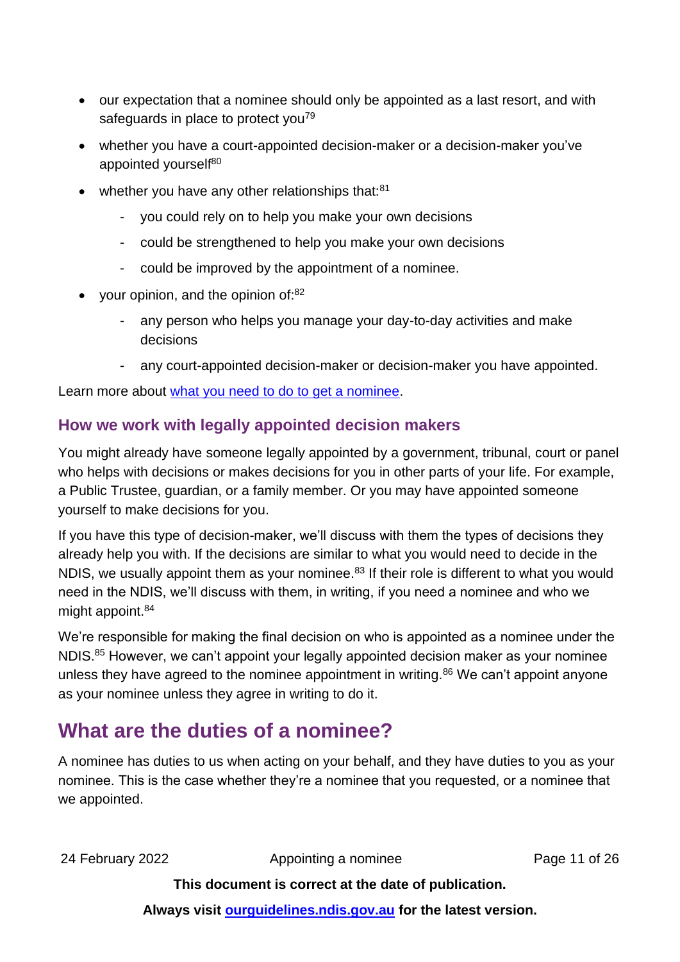- our expectation that a nominee should only be appointed as a last resort, and with safeguards in place to protect you<sup>79</sup>
- whether you have a court-appointed decision-maker or a decision-maker you've appointed yourself<sup>80</sup>
- whether you have any other relationships that:<sup>81</sup>
	- you could rely on to help you make your own decisions
	- could be strengthened to help you make your own decisions
	- could be improved by the appointment of a nominee.
- your opinion, and the opinion of: $82$ 
	- any person who helps you manage your day-to-day activities and make decisions
	- any court-appointed decision-maker or decision-maker you have appointed.

Learn more about [what you need to do to get a nominee.](#page-12-0)

### <span id="page-10-1"></span>**How we work with legally appointed decision makers**

You might already have someone legally appointed by a government, tribunal, court or panel who helps with decisions or makes decisions for you in other parts of your life. For example, a Public Trustee, guardian, or a family member. Or you may have appointed someone yourself to make decisions for you.

If you have this type of decision-maker, we'll discuss with them the types of decisions they already help you with. If the decisions are similar to what you would need to decide in the NDIS, we usually appoint them as your nominee.<sup>83</sup> If their role is different to what you would need in the NDIS, we'll discuss with them, in writing, if you need a nominee and who we might appoint.<sup>84</sup>

We're responsible for making the final decision on who is appointed as a nominee under the NDIS.<sup>85</sup> However, we can't appoint your legally appointed decision maker as your nominee unless they have agreed to the nominee appointment in writing.<sup>86</sup> We can't appoint anyone as your nominee unless they agree in writing to do it.

## <span id="page-10-0"></span>**What are the duties of a nominee?**

A nominee has duties to us when acting on your behalf, and they have duties to you as your nominee. This is the case whether they're a nominee that you requested, or a nominee that we appointed.

24 February 2022 **Appointing a nominee** Page 11 of 26

**This document is correct at the date of publication.**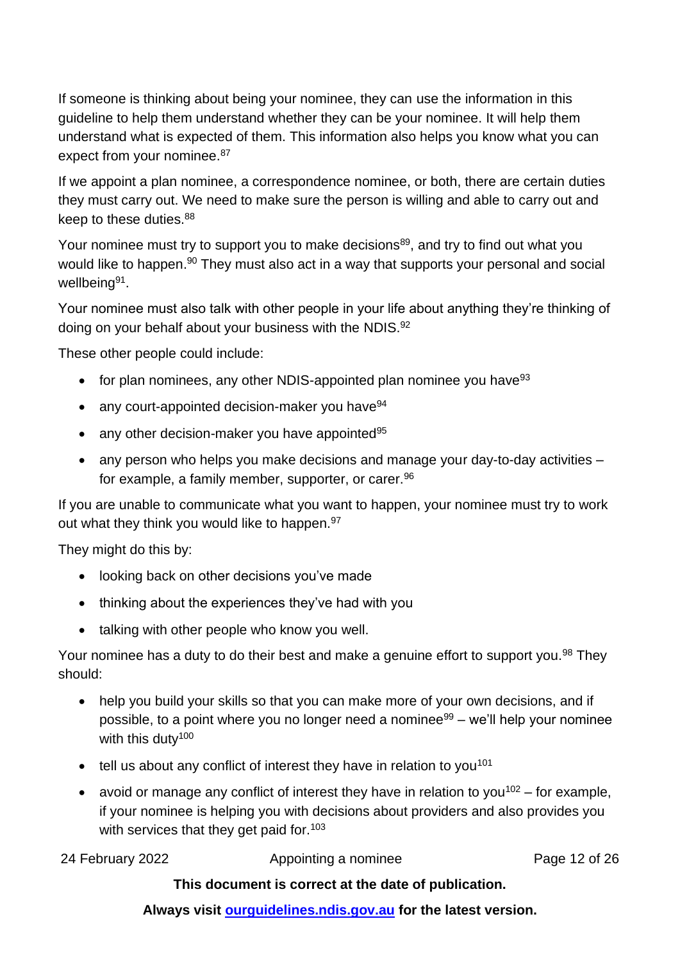If someone is thinking about being your nominee, they can use the information in this guideline to help them understand whether they can be your nominee. It will help them understand what is expected of them. This information also helps you know what you can expect from your nominee. 87

If we appoint a plan nominee, a correspondence nominee, or both, there are certain duties they must carry out. We need to make sure the person is willing and able to carry out and keep to these duties.<sup>88</sup>

Your nominee must try to support you to make decisions<sup>89</sup>, and try to find out what you would like to happen.<sup>90</sup> They must also act in a way that supports your personal and social wellbeing<sup>91</sup>.

Your nominee must also talk with other people in your life about anything they're thinking of doing on your behalf about your business with the NDIS.<sup>92</sup>

These other people could include:

- for plan nominees, any other NDIS-appointed plan nominee you have  $93$
- any court-appointed decision-maker you have $94$
- any other decision-maker you have appointed $95$
- any person who helps you make decisions and manage your day-to-day activities for example, a family member, supporter, or carer.<sup>96</sup>

If you are unable to communicate what you want to happen, your nominee must try to work out what they think you would like to happen.<sup>97</sup>

They might do this by:

- looking back on other decisions you've made
- thinking about the experiences they've had with you
- talking with other people who know you well.

Your nominee has a duty to do their best and make a genuine effort to support you.<sup>98</sup> They should:

- help you build your skills so that you can make more of your own decisions, and if possible, to a point where you no longer need a nominee<sup>99</sup> – we'll help your nominee with this duty<sup>100</sup>
- $\bullet$  tell us about any conflict of interest they have in relation to you<sup>101</sup>
- avoid or manage any conflict of interest they have in relation to you<sup>102</sup> for example, if your nominee is helping you with decisions about providers and also provides you with services that they get paid for.<sup>103</sup>

| 24 February 2022 | Appointing a nominee | Page 12 of 26 |
|------------------|----------------------|---------------|
|------------------|----------------------|---------------|

#### **This document is correct at the date of publication.**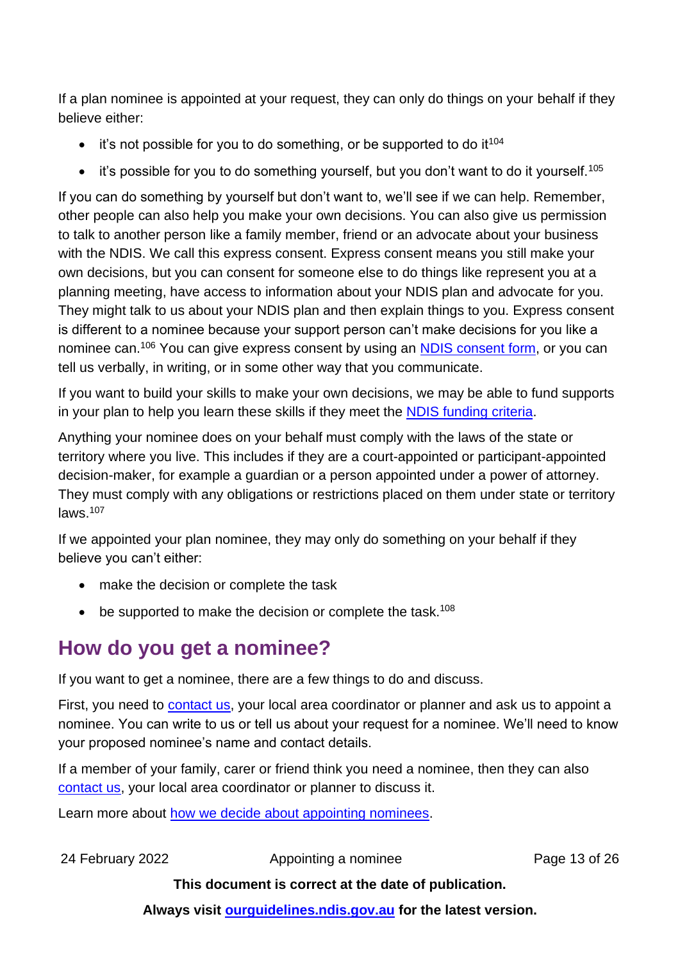If a plan nominee is appointed at your request, they can only do things on your behalf if they believe either:

- $\bullet$  it's not possible for you to do something, or be supported to do it<sup>104</sup>
- it's possible for you to do something yourself, but you don't want to do it yourself.<sup>105</sup>

If you can do something by yourself but don't want to, we'll see if we can help. Remember, other people can also help you make your own decisions. You can also give us permission to talk to another person like a family member, friend or an advocate about your business with the NDIS. We call this express consent. Express consent means you still make your own decisions, but you can consent for someone else to do things like represent you at a planning meeting, have access to information about your NDIS plan and advocate for you. They might talk to us about your NDIS plan and then explain things to you. Express consent is different to a nominee because your support person can't make decisions for you like a nominee can.<sup>106</sup> You can give express consent by using an [NDIS consent form,](https://www.ndis.gov.au/about-us/policies/access-information/consent-forms) or you can tell us verbally, in writing, or in some other way that you communicate.

If you want to build your skills to make your own decisions, we may be able to fund supports in your plan to help you learn these skills if they meet the [NDIS funding criteria.](https://ourguidelines.ndis.gov.au/how-ndis-supports-work-menu/reasonable-and-necessary-supports/how-we-work-out-if-support-meets-funding-criteria)

Anything your nominee does on your behalf must comply with the laws of the state or territory where you live. This includes if they are a court-appointed or participant-appointed decision-maker, for example a guardian or a person appointed under a power of attorney. They must comply with any obligations or restrictions placed on them under state or territory laws. 107

If we appointed your plan nominee, they may only do something on your behalf if they believe you can't either:

- make the decision or complete the task
- $\bullet$  be supported to make the decision or complete the task.<sup>108</sup>

## <span id="page-12-0"></span>**How do you get a nominee?**

If you want to get a nominee, there are a few things to do and discuss.

First, you need to **contact us**, your local area coordinator or planner and ask us to appoint a nominee. You can write to us or tell us about your request for a nominee. We'll need to know your proposed nominee's name and contact details.

If a member of your family, carer or friend think you need a nominee, then they can also [contact us,](https://www.ndis.gov.au/contact) your local area coordinator or planner to discuss it.

Learn more about [how we decide about appointing nominees.](#page-9-0)

24 February 2022 **Appointing a nominee** Page 13 of 26

### **This document is correct at the date of publication.**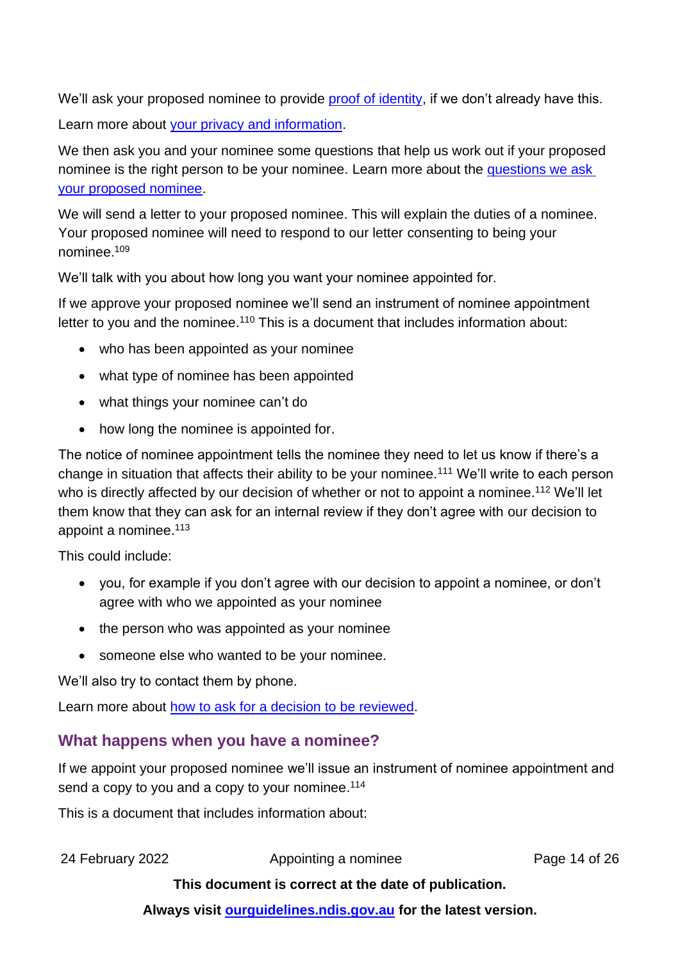We'll ask your proposed nominee to provide [proof of identity,](https://www.ndis.gov.au/media/300/download) if we don't already have this.

Learn more about [your privacy and information.](https://ourguidelines.ndis.gov.au/how-ndis-supports-work-menu/your-privacy-and-information)

We then ask you and your nominee some questions that help us work out if your proposed nominee is the right person to be your nominee. Learn more about the [questions we ask](#page-6-0)  [your proposed nominee.](#page-6-0)

We will send a letter to your proposed nominee. This will explain the duties of a nominee. Your proposed nominee will need to respond to our letter consenting to being your nominee.<sup>109</sup>

We'll talk with you about how long you want your nominee appointed for.

If we approve your proposed nominee we'll send an instrument of nominee appointment letter to you and the nominee.<sup>110</sup> This is a document that includes information about:

- who has been appointed as your nominee
- what type of nominee has been appointed
- what things your nominee can't do
- how long the nominee is appointed for.

The notice of nominee appointment tells the nominee they need to let us know if there's a change in situation that affects their ability to be your nominee.<sup>111</sup> We'll write to each person who is directly affected by our decision of whether or not to appoint a nominee.<sup>112</sup> We'll let them know that they can ask for an internal review if they don't agree with our decision to appoint a nominee.<sup>113</sup>

This could include:

- you, for example if you don't agree with our decision to appoint a nominee, or don't agree with who we appointed as your nominee
- the person who was appointed as your nominee
- someone else who wanted to be your nominee.

We'll also try to contact them by phone.

Learn more about [how to ask for a decision to be reviewed.](https://ourguidelines.ndis.gov.au/home/reviewing-decision/reviewing-our-decisions)

### **What happens when you have a nominee?**

If we appoint your proposed nominee we'll issue an instrument of nominee appointment and send a copy to you and a copy to your nominee.<sup>114</sup>

This is a document that includes information about:

24 February 2022 **Appointing a nominee** Page 14 of 26

#### **This document is correct at the date of publication.**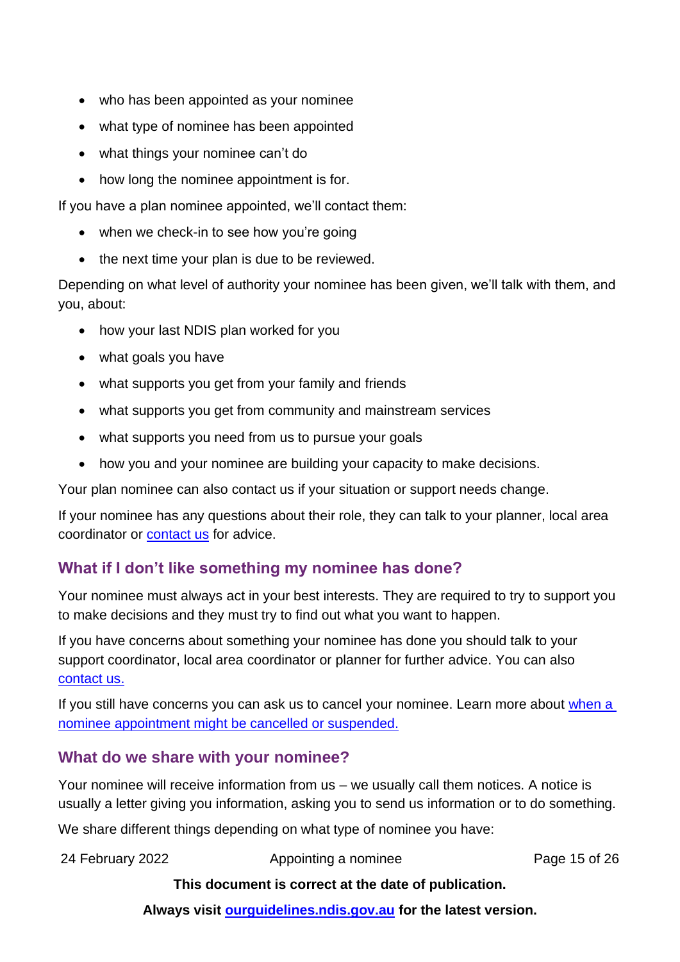- who has been appointed as your nominee
- what type of nominee has been appointed
- what things your nominee can't do
- how long the nominee appointment is for.

If you have a plan nominee appointed, we'll contact them:

- when we check-in to see how you're going
- the next time your plan is due to be reviewed.

Depending on what level of authority your nominee has been given, we'll talk with them, and you, about:

- how your last NDIS plan worked for you
- what goals you have
- what supports you get from your family and friends
- what supports you get from community and mainstream services
- what supports you need from us to pursue your goals
- how you and your nominee are building your capacity to make decisions.

Your plan nominee can also contact us if your situation or support needs change.

If your nominee has any questions about their role, they can talk to your planner, local area coordinator or [contact us](https://www.ndis.gov.au/contact) for advice.

### **What if I don't like something my nominee has done?**

Your nominee must always act in your best interests. They are required to try to support you to make decisions and they must try to find out what you want to happen.

If you have concerns about something your nominee has done you should talk to your support coordinator, local area coordinator or planner for further advice. You can also [contact us.](https://www.ndis.gov.au/contact)

If you still have concerns you can ask us to cancel your nominee. Learn more about when a [nominee appointment might be cancelled or suspended.](#page-17-0)

### <span id="page-14-0"></span>**What do we share with your nominee?**

Your nominee will receive information from us – we usually call them notices. A notice is usually a letter giving you information, asking you to send us information or to do something.

We share different things depending on what type of nominee you have:

24 February 2022 **Appointing a nominee** Page 15 of 26

### **This document is correct at the date of publication.**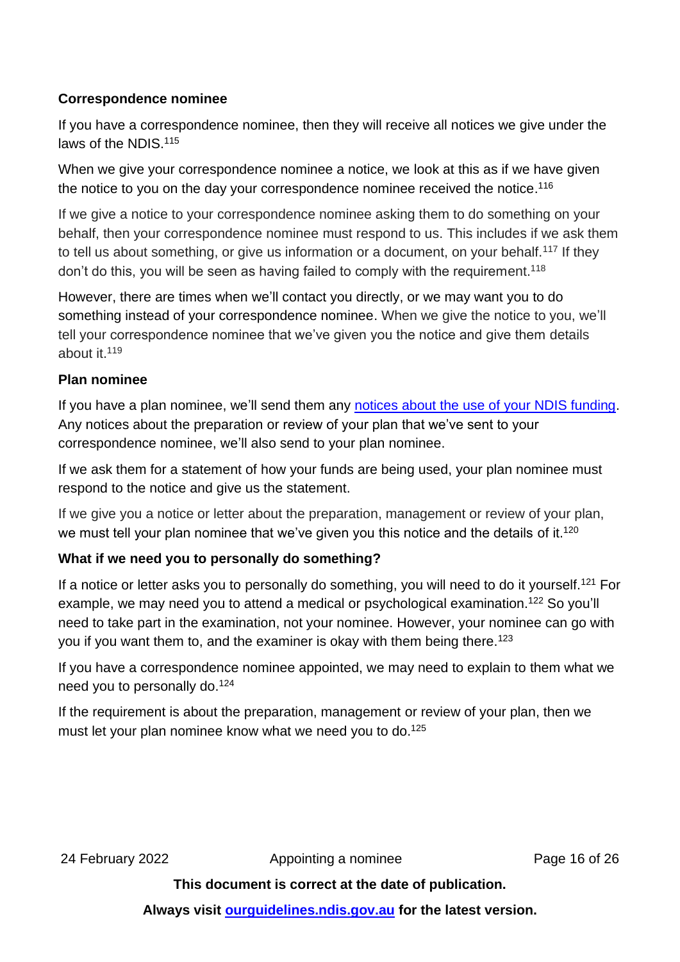### **Correspondence nominee**

If you have a correspondence nominee, then they will receive all notices we give under the laws of the NDIS.<sup>115</sup>

When we give your correspondence nominee a notice, we look at this as if we have given the notice to you on the day your correspondence nominee received the notice. 116

If we give a notice to your correspondence nominee asking them to do something on your behalf, then your correspondence nominee must respond to us. This includes if we ask them to tell us about something, or give us information or a document, on your behalf.<sup>117</sup> If they don't do this, you will be seen as having failed to comply with the requirement.<sup>118</sup>

However, there are times when we'll contact you directly, or we may want you to do something instead of your correspondence nominee. When we give the notice to you, we'll tell your correspondence nominee that we've given you the notice and give them details about it.<sup>119</sup>

### **Plan nominee**

If you have a plan nominee, we'll send them any [notices about the use of your NDIS funding.](#page-16-0) Any notices about the preparation or review of your plan that we've sent to your correspondence nominee, we'll also send to your plan nominee.

If we ask them for a statement of how your funds are being used, your plan nominee must respond to the notice and give us the statement.

If we give you a notice or letter about the preparation, management or review of your plan, we must tell your plan nominee that we've given you this notice and the details of it. $^{120}$ 

### **What if we need you to personally do something?**

If a notice or letter asks you to personally do something, you will need to do it yourself.<sup>121</sup> For example, we may need you to attend a medical or psychological examination.<sup>122</sup> So you'll need to take part in the examination, not your nominee. However, your nominee can go with you if you want them to, and the examiner is okay with them being there.<sup>123</sup>

If you have a correspondence nominee appointed, we may need to explain to them what we need you to personally do.<sup>124</sup>

If the requirement is about the preparation, management or review of your plan, then we must let your plan nominee know what we need you to do. 125

24 February 2022 **Appointing a nominee** Page 16 of 26

### **This document is correct at the date of publication.**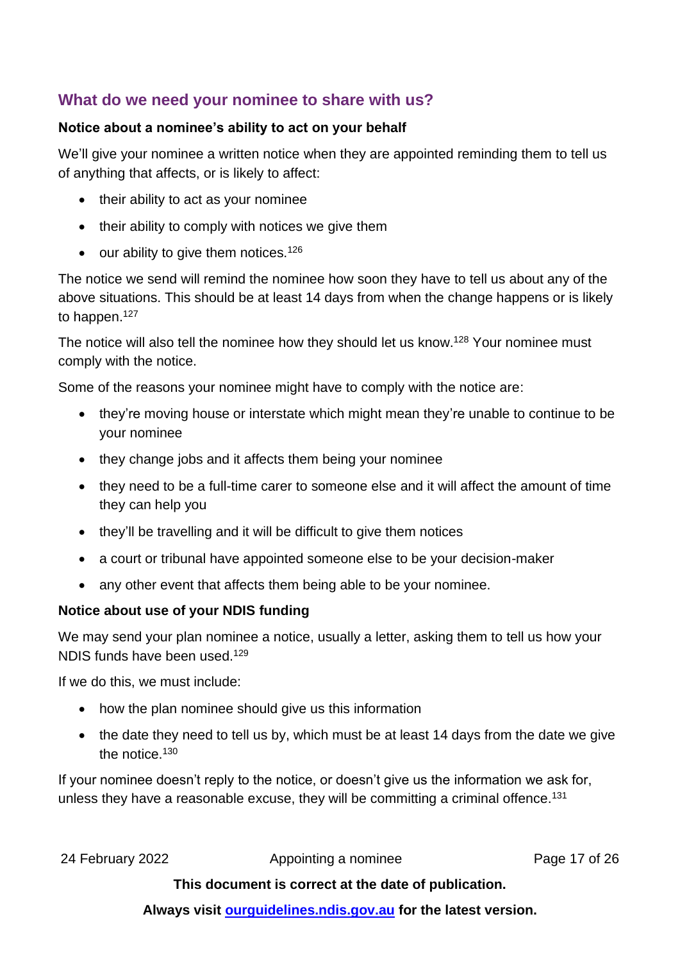### **What do we need your nominee to share with us?**

#### **Notice about a nominee's ability to act on your behalf**

We'll give your nominee a written notice when they are appointed reminding them to tell us of anything that affects, or is likely to affect:

- their ability to act as your nominee
- their ability to comply with notices we give them
- our ability to give them notices.<sup>126</sup>

The notice we send will remind the nominee how soon they have to tell us about any of the above situations. This should be at least 14 days from when the change happens or is likely to happen.<sup>127</sup>

The notice will also tell the nominee how they should let us know.<sup>128</sup> Your nominee must comply with the notice.

Some of the reasons your nominee might have to comply with the notice are:

- they're moving house or interstate which might mean they're unable to continue to be your nominee
- they change jobs and it affects them being your nominee
- they need to be a full-time carer to someone else and it will affect the amount of time they can help you
- they'll be travelling and it will be difficult to give them notices
- a court or tribunal have appointed someone else to be your decision-maker
- any other event that affects them being able to be your nominee.

### <span id="page-16-0"></span>**Notice about use of your NDIS funding**

We may send your plan nominee a notice, usually a letter, asking them to tell us how your NDIS funds have been used.<sup>129</sup>

If we do this, we must include:

- how the plan nominee should give us this information
- the date they need to tell us by, which must be at least 14 days from the date we give the notice.<sup>130</sup>

If your nominee doesn't reply to the notice, or doesn't give us the information we ask for, unless they have a reasonable excuse, they will be committing a criminal offence.<sup>131</sup>

24 February 2022 **Appointing a nominee** Page 17 of 26

#### **This document is correct at the date of publication.**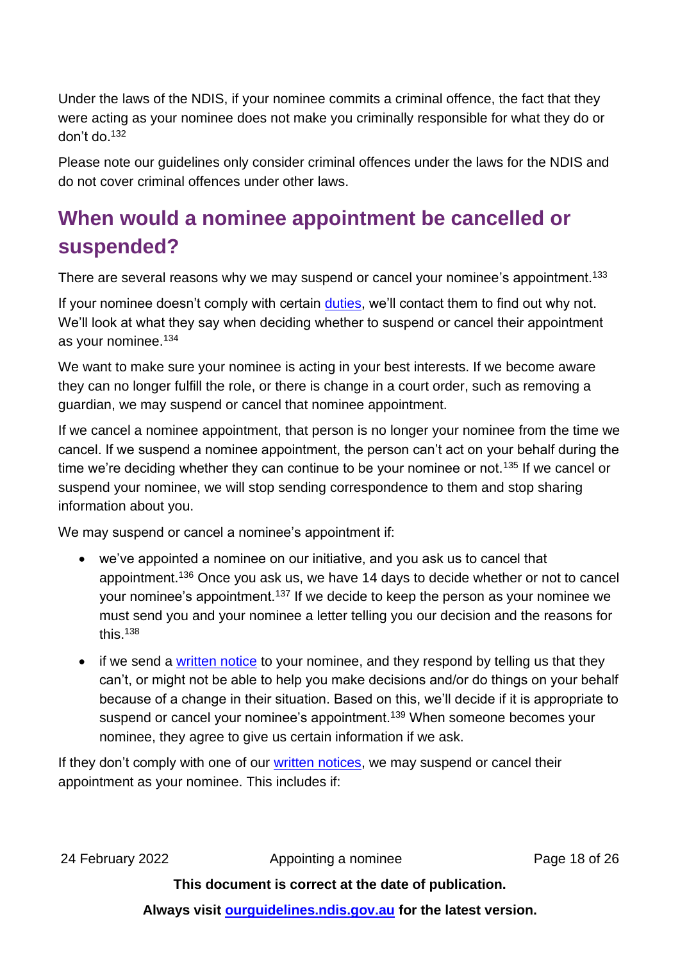Under the laws of the NDIS, if your nominee commits a criminal offence, the fact that they were acting as your nominee does not make you criminally responsible for what they do or don't do. 132

Please note our guidelines only consider criminal offences under the laws for the NDIS and do not cover criminal offences under other laws.

## <span id="page-17-0"></span>**When would a nominee appointment be cancelled or suspended?**

There are several reasons why we may suspend or cancel your nominee's appointment.<sup>133</sup>

If your nominee doesn't comply with certain [duties,](#page-10-0) we'll contact them to find out why not. We'll look at what they say when deciding whether to suspend or cancel their appointment as your nominee.<sup>134</sup>

We want to make sure your nominee is acting in your best interests. If we become aware they can no longer fulfill the role, or there is change in a court order, such as removing a guardian, we may suspend or cancel that nominee appointment.

If we cancel a nominee appointment, that person is no longer your nominee from the time we cancel. If we suspend a nominee appointment, the person can't act on your behalf during the time we're deciding whether they can continue to be your nominee or not.<sup>135</sup> If we cancel or suspend your nominee, we will stop sending correspondence to them and stop sharing information about you.

We may suspend or cancel a nominee's appointment if:

- we've appointed a nominee on our initiative, and you ask us to cancel that appointment.<sup>136</sup> Once you ask us, we have 14 days to decide whether or not to cancel your nominee's appointment.<sup>137</sup> If we decide to keep the person as your nominee we must send you and your nominee a letter telling you our decision and the reasons for this. 138
- if we send a [written notice](#page-14-0) to your nominee, and they respond by telling us that they can't, or might not be able to help you make decisions and/or do things on your behalf because of a change in their situation. Based on this, we'll decide if it is appropriate to suspend or cancel your nominee's appointment.<sup>139</sup> When someone becomes your nominee, they agree to give us certain information if we ask.

If they don't comply with one of our [written notices,](#page-14-0) we may suspend or cancel their appointment as your nominee. This includes if:

24 February 2022 **Appointing a nominee** Page 18 of 26

**This document is correct at the date of publication.**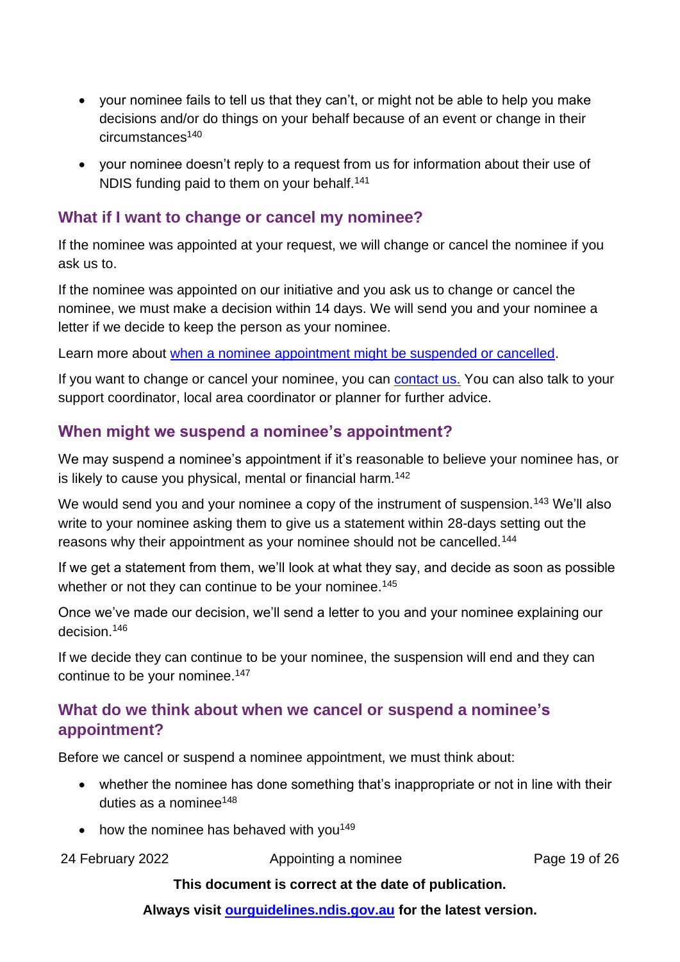- your nominee fails to tell us that they can't, or might not be able to help you make decisions and/or do things on your behalf because of an event or change in their circumstances<sup>140</sup>
- your nominee doesn't reply to a request from us for information about their use of NDIS funding paid to them on your behalf.<sup>141</sup>

### **What if I want to change or cancel my nominee?**

If the nominee was appointed at your request, we will change or cancel the nominee if you ask us to.

If the nominee was appointed on our initiative and you ask us to change or cancel the nominee, we must make a decision within 14 days. We will send you and your nominee a letter if we decide to keep the person as your nominee.

Learn more about [when a nominee appointment might be suspended or cancelled.](#page-17-0)

If you want to change or cancel your nominee, you can [contact us.](https://www.ndis.gov.au/contact) You can also talk to your support coordinator, local area coordinator or planner for further advice.

### **When might we suspend a nominee's appointment?**

We may suspend a nominee's appointment if it's reasonable to believe your nominee has, or is likely to cause you physical, mental or financial harm.<sup>142</sup>

We would send you and your nominee a copy of the instrument of suspension.<sup>143</sup> We'll also write to your nominee asking them to give us a statement within 28-days setting out the reasons why their appointment as your nominee should not be cancelled.<sup>144</sup>

If we get a statement from them, we'll look at what they say, and decide as soon as possible whether or not they can continue to be your nominee.<sup>145</sup>

Once we've made our decision, we'll send a letter to you and your nominee explaining our decision.<sup>146</sup>

If we decide they can continue to be your nominee, the suspension will end and they can continue to be your nominee.<sup>147</sup>

### **What do we think about when we cancel or suspend a nominee's appointment?**

Before we cancel or suspend a nominee appointment, we must think about:

- whether the nominee has done something that's inappropriate or not in line with their duties as a nominee $148$
- how the nominee has behaved with you<sup>149</sup>

24 February 2022 **Appointing a nominee** Page 19 of 26

#### **This document is correct at the date of publication.**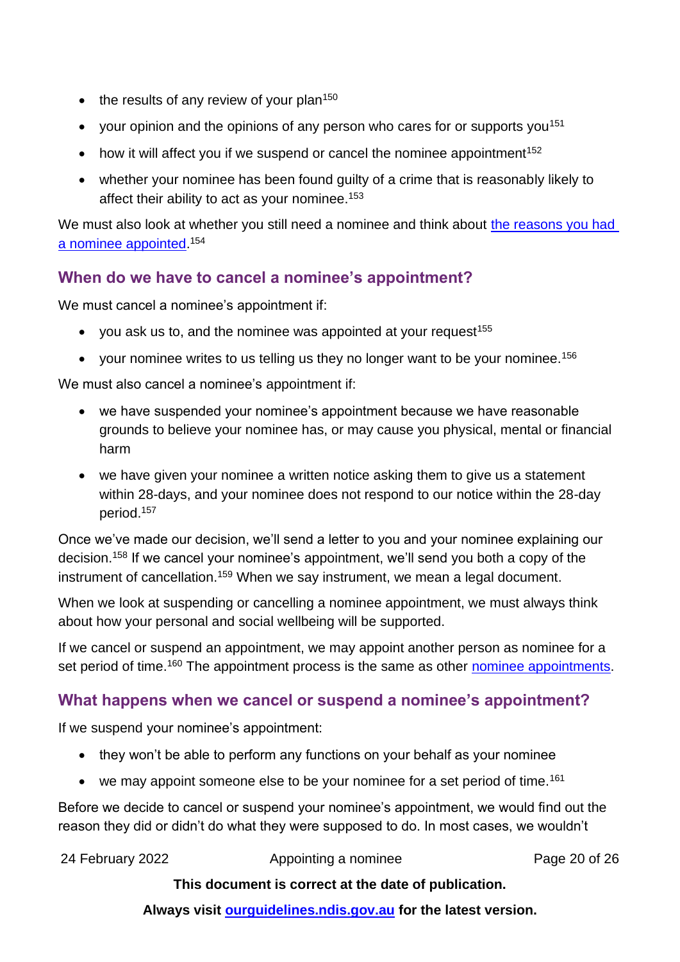- $\bullet$  the results of any review of your plan<sup>150</sup>
- your opinion and the opinions of any person who cares for or supports you<sup>151</sup>
- how it will affect you if we suspend or cancel the nominee appointment<sup>152</sup>
- whether your nominee has been found guilty of a crime that is reasonably likely to affect their ability to act as your nominee.<sup>153</sup>

We must also look at whether you still need a nominee and think about the reasons you had [a nominee appointed.](#page-2-0)<sup>154</sup>

### **When do we have to cancel a nominee's appointment?**

We must cancel a nominee's appointment if:

- you ask us to, and the nominee was appointed at your request<sup>155</sup>
- your nominee writes to us telling us they no longer want to be your nominee.<sup>156</sup>

We must also cancel a nominee's appointment if:

- we have suspended your nominee's appointment because we have reasonable grounds to believe your nominee has, or may cause you physical, mental or financial harm
- we have given your nominee a written notice asking them to give us a statement within 28-days, and your nominee does not respond to our notice within the 28-day period.<sup>157</sup>

Once we've made our decision, we'll send a letter to you and your nominee explaining our decision.<sup>158</sup> If we cancel your nominee's appointment, we'll send you both a copy of the instrument of cancellation.<sup>159</sup> When we say instrument, we mean a legal document.

When we look at suspending or cancelling a nominee appointment, we must always think about how your personal and social wellbeing will be supported.

If we cancel or suspend an appointment, we may appoint another person as nominee for a set period of time.<sup>160</sup> The appointment process is the same as other [nominee appointments.](#page-12-0)

### **What happens when we cancel or suspend a nominee's appointment?**

If we suspend your nominee's appointment:

- they won't be able to perform any functions on your behalf as your nominee
- we may appoint someone else to be your nominee for a set period of time.<sup>161</sup>

Before we decide to cancel or suspend your nominee's appointment, we would find out the reason they did or didn't do what they were supposed to do. In most cases, we wouldn't

24 February 2022 **Appointing a nominee** Page 20 of 26

### **This document is correct at the date of publication.**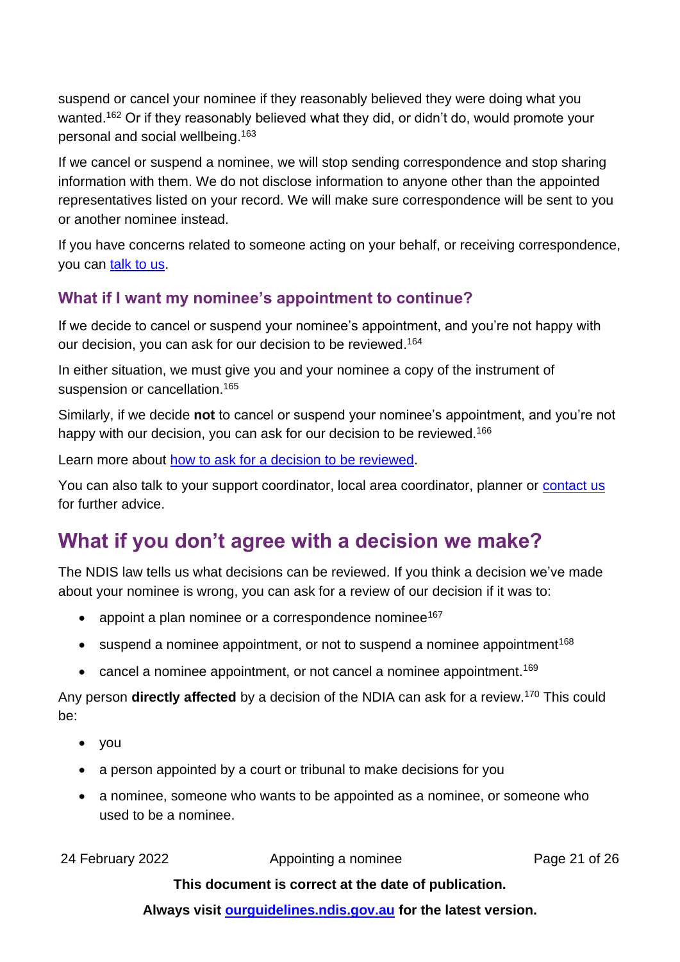suspend or cancel your nominee if they reasonably believed they were doing what you wanted.<sup>162</sup> Or if they reasonably believed what they did, or didn't do, would promote your personal and social wellbeing. 163

If we cancel or suspend a nominee, we will stop sending correspondence and stop sharing information with them. We do not disclose information to anyone other than the appointed representatives listed on your record. We will make sure correspondence will be sent to you or another nominee instead.

If you have concerns related to someone acting on your behalf, or receiving correspondence, you can [talk to us.](https://www.ndis.gov.au/contact)

### **What if I want my nominee's appointment to continue?**

If we decide to cancel or suspend your nominee's appointment, and you're not happy with our decision, you can ask for our decision to be reviewed. 164

In either situation, we must give you and your nominee a copy of the instrument of suspension or cancellation.<sup>165</sup>

Similarly, if we decide **not** to cancel or suspend your nominee's appointment, and you're not happy with our decision, you can ask for our decision to be reviewed.<sup>166</sup>

Learn more about [how to ask for a decision to be reviewed.](https://ourguidelines.ndis.gov.au/home/reviewing-decision/reviewing-our-decisions)

You can also talk to your support coordinator, local area coordinator, planner or [contact us](https://www.ndis.gov.au/contact) for further advice.

## <span id="page-20-0"></span>**What if you don't agree with a decision we make?**

The NDIS law tells us what decisions can be reviewed. If you think a decision we've made about your nominee is wrong, you can ask for a review of our decision if it was to:

- appoint a plan nominee or a correspondence nominee<sup>167</sup>
- suspend a nominee appointment, or not to suspend a nominee appointment<sup>168</sup>
- cancel a nominee appointment, or not cancel a nominee appointment.<sup>169</sup>

Any person **directly affected** by a decision of the NDIA can ask for a review.<sup>170</sup> This could be:

- you
- a person appointed by a court or tribunal to make decisions for you
- a nominee, someone who wants to be appointed as a nominee, or someone who used to be a nominee.

24 February 2022 **Appointing a nominee** Page 21 of 26

### **This document is correct at the date of publication.**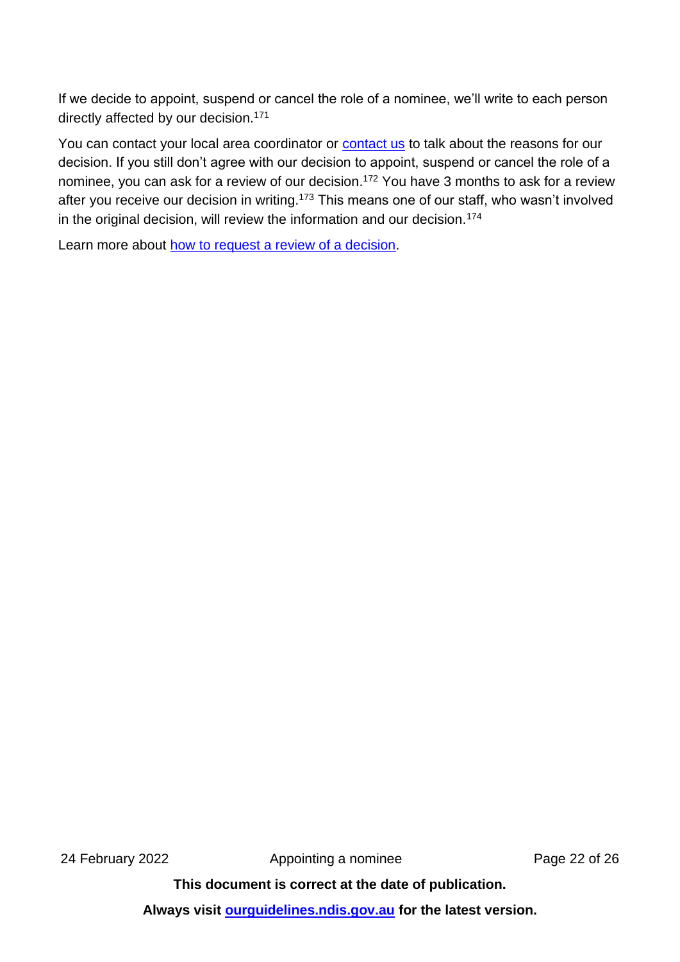If we decide to appoint, suspend or cancel the role of a nominee, we'll write to each person directly affected by our decision.<sup>171</sup>

You can contact your local area coordinator or [contact us](https://www.ndis.gov.au/contact) to talk about the reasons for our decision. If you still don't agree with our decision to appoint, suspend or cancel the role of a nominee, you can ask for a review of our decision. <sup>172</sup> You have 3 months to ask for a review after you receive our decision in writing.<sup>173</sup> This means one of our staff, who wasn't involved in the original decision, will review the information and our decision.<sup>174</sup>

Learn more about [how to request a review of a decision.](https://ourguidelines.ndis.gov.au/home/reviewing-decision/reviewing-our-decisions)

24 February 2022 **Appointing a nominee** Page 22 of 26

**This document is correct at the date of publication.**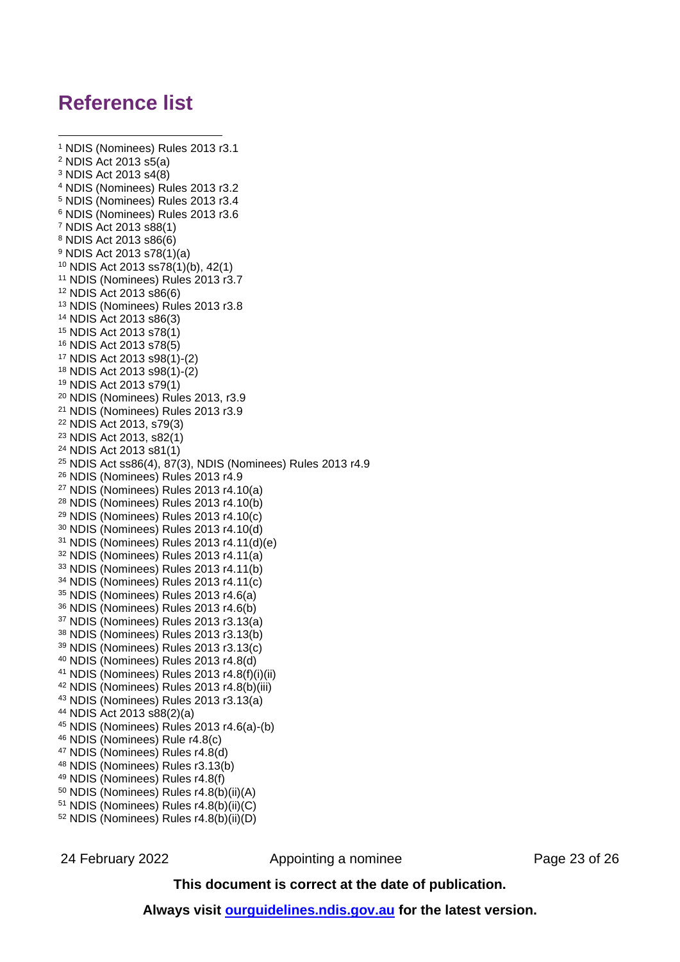## **Reference list**

```
1 NDIS (Nominees) Rules 2013 r3.1
2 NDIS Act 2013 s5(a)
3 NDIS Act 2013 s4(8)
4 NDIS (Nominees) Rules 2013 r3.2
5 NDIS (Nominees) Rules 2013 r3.4
6 NDIS (Nominees) Rules 2013 r3.6
7 NDIS Act 2013 s88(1)
8 NDIS Act 2013 s86(6)
9 NDIS Act 2013 s78(1)(a)
10 NDIS Act 2013 ss78(1)(b), 42(1)
11 NDIS (Nominees) Rules 2013 r3.7
12 NDIS Act 2013 s86(6)
13 NDIS (Nominees) Rules 2013 r3.8
14 NDIS Act 2013 s86(3)
15 NDIS Act 2013 s78(1)
16 NDIS Act 2013 s78(5)
17 NDIS Act 2013 s98(1)-(2)
18 NDIS Act 2013 s98(1)-(2)
19 NDIS Act 2013 s79(1)
20 NDIS (Nominees) Rules 2013, r3.9
21 NDIS (Nominees) Rules 2013 r3.9
22 NDIS Act 2013, s79(3)
23 NDIS Act 2013, s82(1)
24 NDIS Act 2013 s81(1)
25 NDIS Act ss86(4), 87(3), NDIS (Nominees) Rules 2013 r4.9
26 NDIS (Nominees) Rules 2013 r4.9
27 NDIS (Nominees) Rules 2013 r4.10(a)
28 NDIS (Nominees) Rules 2013 r4.10(b)
29 NDIS (Nominees) Rules 2013 r4.10(c)
30 NDIS (Nominees) Rules 2013 r4.10(d)
31 NDIS (Nominees) Rules 2013 r4.11(d)(e)
32 NDIS (Nominees) Rules 2013 r4.11(a)
33 NDIS (Nominees) Rules 2013 r4.11(b)
34 NDIS (Nominees) Rules 2013 r4.11(c)
35 NDIS (Nominees) Rules 2013 r4.6(a)
36 NDIS (Nominees) Rules 2013 r4.6(b)
37 NDIS (Nominees) Rules 2013 r3.13(a)
38 NDIS (Nominees) Rules 2013 r3.13(b)
39 NDIS (Nominees) Rules 2013 r3.13(c)
40 NDIS (Nominees) Rules 2013 r4.8(d)
41 NDIS (Nominees) Rules 2013 r4.8(f)(i)(ii)
42 NDIS (Nominees) Rules 2013 r4.8(b)(iii)
43 NDIS (Nominees) Rules 2013 r3.13(a)
44 NDIS Act 2013 s88(2)(a)
45 NDIS (Nominees) Rules 2013 r4.6(a)-(b)
46 NDIS (Nominees) Rule r4.8(c)
47 NDIS (Nominees) Rules r4.8(d)
48 NDIS (Nominees) Rules r3.13(b)
49 NDIS (Nominees) Rules r4.8(f)
50 NDIS (Nominees) Rules r4.8(b)(ii)(A)
51 NDIS (Nominees) Rules r4.8(b)(ii)(C)
52 NDIS (Nominees) Rules r4.8(b)(ii)(D)
```
24 February 2022 **Appointing a nominee** Page 23 of 26

**This document is correct at the date of publication.**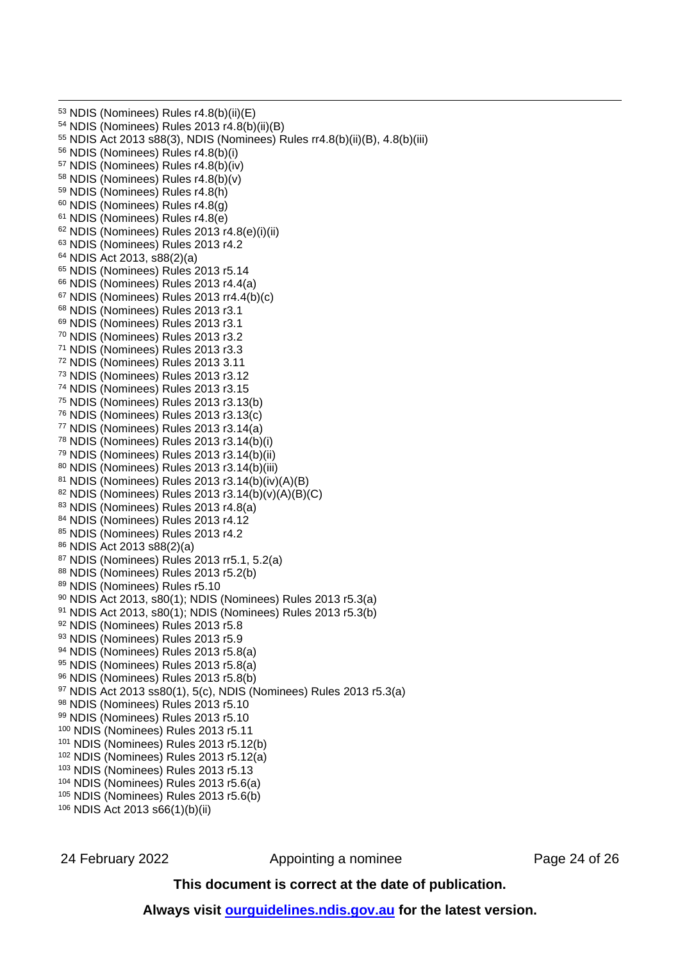NDIS (Nominees) Rules r4.8(b)(ii)(E) NDIS (Nominees) Rules 2013 r4.8(b)(ii)(B) NDIS Act 2013 s88(3), NDIS (Nominees) Rules rr4.8(b)(ii)(B), 4.8(b)(iii) NDIS (Nominees) Rules r4.8(b)(i) NDIS (Nominees) Rules r4.8(b)(iv) NDIS (Nominees) Rules r4.8(b)(v) NDIS (Nominees) Rules r4.8(h) NDIS (Nominees) Rules r4.8(g) NDIS (Nominees) Rules r4.8(e) NDIS (Nominees) Rules 2013 r4.8(e)(i)(ii) NDIS (Nominees) Rules 2013 r4.2 NDIS Act 2013, s88(2)(a) NDIS (Nominees) Rules 2013 r5.14 NDIS (Nominees) Rules 2013 r4.4(a) NDIS (Nominees) Rules 2013 rr4.4(b)(c) NDIS (Nominees) Rules 2013 r3.1 NDIS (Nominees) Rules 2013 r3.1 NDIS (Nominees) Rules 2013 r3.2 NDIS (Nominees) Rules 2013 r3.3 NDIS (Nominees) Rules 2013 3.11 NDIS (Nominees) Rules 2013 r3.12 NDIS (Nominees) Rules 2013 r3.15 NDIS (Nominees) Rules 2013 r3.13(b) NDIS (Nominees) Rules 2013 r3.13(c) NDIS (Nominees) Rules 2013 r3.14(a) NDIS (Nominees) Rules 2013 r3.14(b)(i) NDIS (Nominees) Rules 2013 r3.14(b)(ii) NDIS (Nominees) Rules 2013 r3.14(b)(iii) NDIS (Nominees) Rules 2013 r3.14(b)(iv)(A)(B) NDIS (Nominees) Rules 2013 r3.14(b)(v)(A)(B)(C) 83 NDIS (Nominees) Rules 2013 r4.8(a) NDIS (Nominees) Rules 2013 r4.12 85 NDIS (Nominees) Rules 2013 r4.2 NDIS Act 2013 s88(2)(a) NDIS (Nominees) Rules 2013 rr5.1, 5.2(a) NDIS (Nominees) Rules 2013 r5.2(b) NDIS (Nominees) Rules r5.10 NDIS Act 2013, s80(1); NDIS (Nominees) Rules 2013 r5.3(a) NDIS Act 2013, s80(1); NDIS (Nominees) Rules 2013 r5.3(b) 92 NDIS (Nominees) Rules 2013 r5.8 93 NDIS (Nominees) Rules 2013 r5.9 NDIS (Nominees) Rules 2013 r5.8(a) 95 NDIS (Nominees) Rules 2013 r5.8(a) NDIS (Nominees) Rules 2013 r5.8(b) NDIS Act 2013 ss80(1), 5(c), NDIS (Nominees) Rules 2013 r5.3(a) 98 NDIS (Nominees) Rules 2013 r5.10 99 NDIS (Nominees) Rules 2013 r5.10 NDIS (Nominees) Rules 2013 r5.11 NDIS (Nominees) Rules 2013 r5.12(b) NDIS (Nominees) Rules 2013 r5.12(a) NDIS (Nominees) Rules 2013 r5.13 NDIS (Nominees) Rules 2013 r5.6(a) NDIS (Nominees) Rules 2013 r5.6(b) NDIS Act 2013 s66(1)(b)(ii)

24 February 2022 **Appointing a nominee** Page 24 of 26

#### **This document is correct at the date of publication.**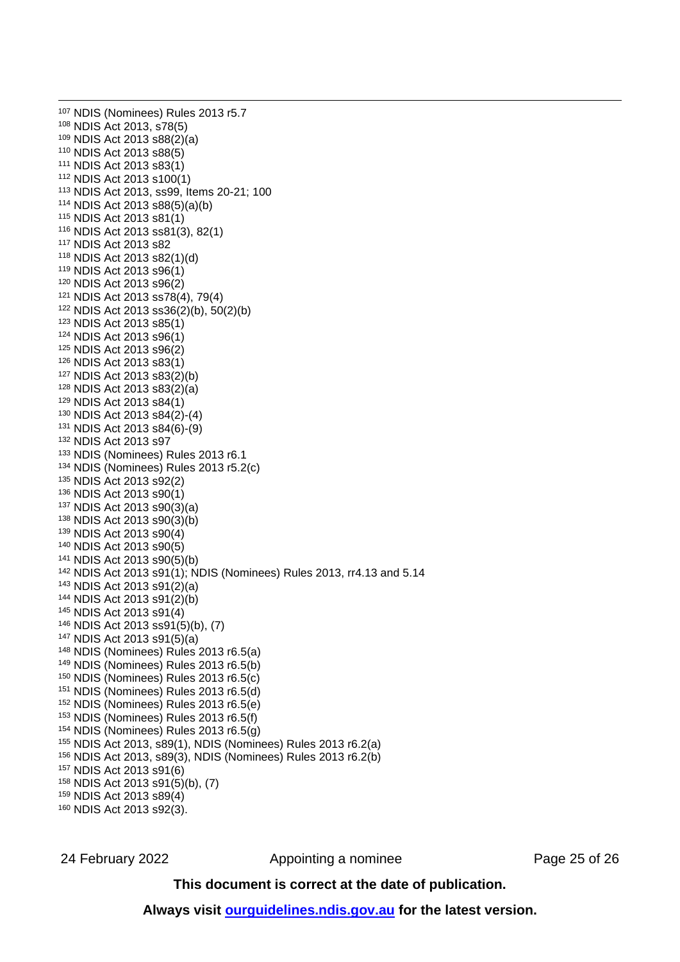NDIS (Nominees) Rules 2013 r5.7 NDIS Act 2013, s78(5) NDIS Act 2013 s88(2)(a) NDIS Act 2013 s88(5) NDIS Act 2013 s83(1) NDIS Act 2013 s100(1) NDIS Act 2013, ss99, Items 20-21; 100 NDIS Act 2013 s88(5)(a)(b) NDIS Act 2013 s81(1) NDIS Act 2013 ss81(3), 82(1) NDIS Act 2013 s82 NDIS Act 2013 s82(1)(d) NDIS Act 2013 s96(1) NDIS Act 2013 s96(2) NDIS Act 2013 ss78(4), 79(4) NDIS Act 2013 ss36(2)(b), 50(2)(b) NDIS Act 2013 s85(1) NDIS Act 2013 s96(1) NDIS Act 2013 s96(2) NDIS Act 2013 s83(1) NDIS Act 2013 s83(2)(b) NDIS Act 2013 s83(2)(a) NDIS Act 2013 s84(1) NDIS Act 2013 s84(2)-(4) NDIS Act 2013 s84(6)-(9) NDIS Act 2013 s97 NDIS (Nominees) Rules 2013 r6.1 NDIS (Nominees) Rules 2013 r5.2(c) NDIS Act 2013 s92(2) NDIS Act 2013 s90(1) NDIS Act 2013 s90(3)(a) NDIS Act 2013 s90(3)(b) NDIS Act 2013 s90(4) NDIS Act 2013 s90(5) NDIS Act 2013 s90(5)(b) NDIS Act 2013 s91(1); NDIS (Nominees) Rules 2013, rr4.13 and 5.14 NDIS Act 2013 s91(2)(a) NDIS Act 2013 s91(2)(b) NDIS Act 2013 s91(4) NDIS Act 2013 ss91(5)(b), (7) NDIS Act 2013 s91(5)(a) NDIS (Nominees) Rules 2013 r6.5(a) NDIS (Nominees) Rules 2013 r6.5(b) NDIS (Nominees) Rules 2013 r6.5(c) NDIS (Nominees) Rules 2013 r6.5(d) NDIS (Nominees) Rules 2013 r6.5(e) NDIS (Nominees) Rules 2013 r6.5(f) NDIS (Nominees) Rules 2013 r6.5(g) NDIS Act 2013, s89(1), NDIS (Nominees) Rules 2013 r6.2(a) NDIS Act 2013, s89(3), NDIS (Nominees) Rules 2013 r6.2(b) NDIS Act 2013 s91(6) NDIS Act 2013 s91(5)(b), (7) NDIS Act 2013 s89(4) NDIS Act 2013 s92(3).

24 February 2022 **Appointing a nominee** Page 25 of 26

#### **This document is correct at the date of publication.**